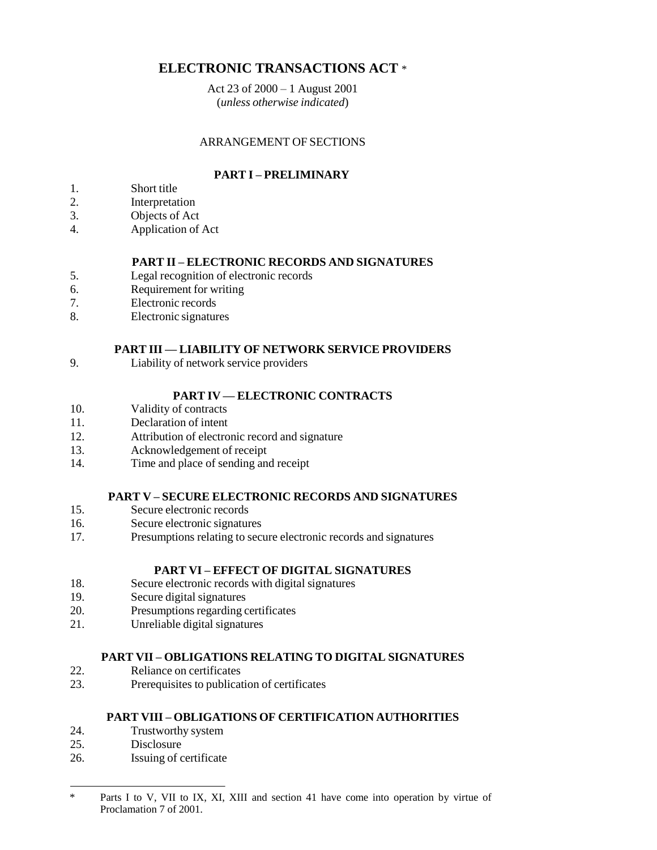# **ELECTRONIC TRANSACTIONS ACT** \*

Act 23 of 2000 – 1 August 2001 (*unless otherwise indicated*)

# ARRANGEMENT OF SECTIONS

# **PART I – PRELIMINARY**

- 1. Short title
- 2. Interpretation
- 3. Objects of Act
- 4. Application of Act

# **PART II – ELECTRONIC RECORDS AND SIGNATURES**

- 5. Legal recognition of electronic records
- 6. Requirement for writing
- 7. Electronic records
- 8. Electronic signatures

# **PART III — LIABILITY OF NETWORK SERVICE PROVIDERS**

9. Liability of network service providers

# **PART IV — ELECTRONIC CONTRACTS**

- 10. Validity of contracts
- 11. Declaration of intent
- 12. Attribution of electronic record and signature
- 13. Acknowledgement of receipt
- 14. Time and place of sending and receipt

# **PART V – SECURE ELECTRONIC RECORDS AND SIGNATURES**

- 15. Secure electronic records
- 16. Secure electronic signatures
- 17. Presumptions relating to secure electronic records and signatures

# **PART VI – EFFECT OF DIGITAL SIGNATURES**

- 18. Secure electronic records with digital signatures
- 19. Secure digital signatures
- 20. Presumptions regarding certificates
- 21. Unreliable digital signatures

# **PART VII – OBLIGATIONS RELATING TO DIGITAL SIGNATURES**

- 22. Reliance on certificates
- 23. Prerequisites to publication of certificates

# **PART VIII – OBLIGATIONS OF CERTIFICATION AUTHORITIES**

- 24. Trustworthy system
- 25. Disclosure
- 26. Issuing of certificate

<sup>\*</sup> Parts I to V, VII to IX, XI, XIII and section 41 have come into operation by virtue of Proclamation 7 of 2001.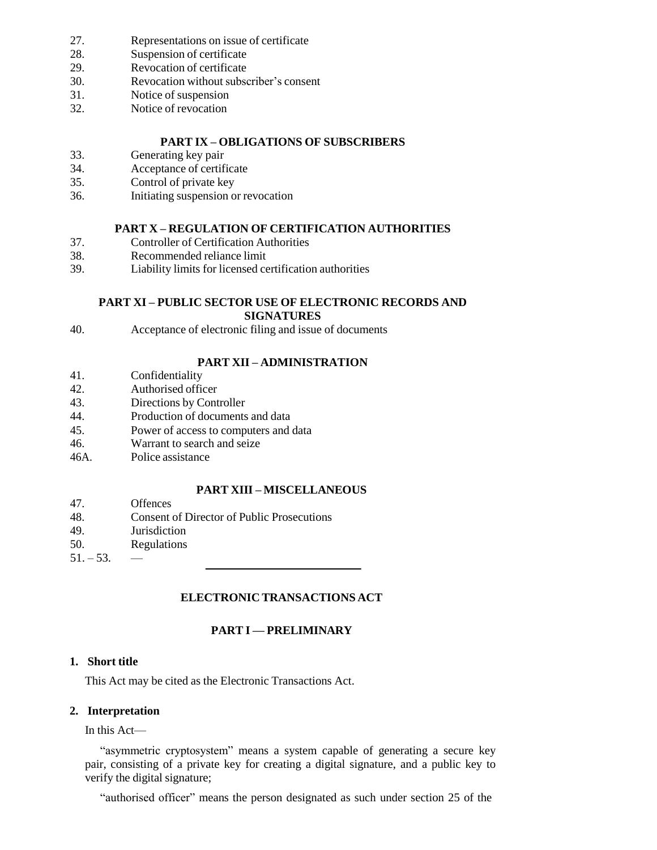- 27. Representations on issue of certificate
- 28. Suspension of certificate
- 29. Revocation of certificate
- 30. Revocation without subscriber's consent
- 31. Notice of suspension
- 32. Notice of revocation

## **PART IX – OBLIGATIONS OF SUBSCRIBERS**

- 33. Generating key pair
- 34. Acceptance of certificate
- 35. Control of private key
- 36. Initiating suspension or revocation

### **PART X – REGULATION OF CERTIFICATION AUTHORITIES**

- 37. Controller of Certification Authorities
- 38. Recommended reliance limit
- 39. Liability limits for licensed certification authorities

#### **PART XI – PUBLIC SECTOR USE OF ELECTRONIC RECORDS AND SIGNATURES**

- 
- 40. Acceptance of electronic filing and issue of documents

# **PART XII – ADMINISTRATION**

- 41. Confidentiality
- 42. Authorised officer
- 43. Directions by Controller
- 44. Production of documents and data
- 45. Power of access to computers and data
- 46. Warrant to search and seize
- 46A. Police assistance

# **PART XIII – MISCELLANEOUS**

- 47. Offences
- 48. Consent of Director of Public Prosecutions
- 49. Jurisdiction
- 50. Regulations
- $51. 53.$  —

# **ELECTRONIC TRANSACTIONS ACT**

# **PART I — PRELIMINARY**

# **1. Short title**

This Act may be cited as the Electronic Transactions Act.

# **2. Interpretation**

In this Act—

"asymmetric cryptosystem" means a system capable of generating a secure key pair, consisting of a private key for creating a digital signature, and a public key to verify the digital signature;

"authorised officer" means the person designated as such under section 25 of the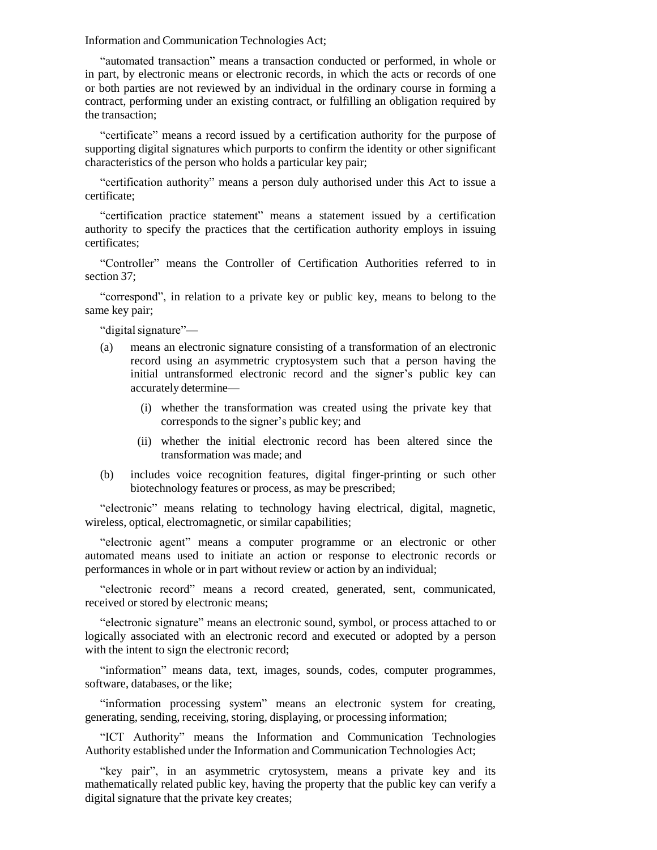Information and Communication Technologies Act;

"automated transaction" means a transaction conducted or performed, in whole or in part, by electronic means or electronic records, in which the acts or records of one or both parties are not reviewed by an individual in the ordinary course in forming a contract, performing under an existing contract, or fulfilling an obligation required by the transaction;

"certificate" means a record issued by a certification authority for the purpose of supporting digital signatures which purports to confirm the identity or other significant characteristics of the person who holds a particular key pair;

"certification authority" means a person duly authorised under this Act to issue a certificate;

"certification practice statement" means a statement issued by a certification authority to specify the practices that the certification authority employs in issuing certificates;

"Controller" means the Controller of Certification Authorities referred to in section 37;

"correspond", in relation to a private key or public key, means to belong to the same key pair;

"digital signature"-

- (a) means an electronic signature consisting of a transformation of an electronic record using an asymmetric cryptosystem such that a person having the initial untransformed electronic record and the signer's public key can accurately determine—
	- (i) whether the transformation was created using the private key that corresponds to the signer's public key; and
	- (ii) whether the initial electronic record has been altered since the transformation was made; and
- (b) includes voice recognition features, digital finger-printing or such other biotechnology features or process, as may be prescribed;

"electronic" means relating to technology having electrical, digital, magnetic, wireless, optical, electromagnetic, or similar capabilities;

"electronic agent" means a computer programme or an electronic or other automated means used to initiate an action or response to electronic records or performances in whole or in part without review or action by an individual;

"electronic record" means a record created, generated, sent, communicated, received or stored by electronic means;

"electronic signature" means an electronic sound, symbol, or process attached to or logically associated with an electronic record and executed or adopted by a person with the intent to sign the electronic record;

"information" means data, text, images, sounds, codes, computer programmes, software, databases, or the like;

"information processing system" means an electronic system for creating, generating, sending, receiving, storing, displaying, or processing information;

"ICT Authority" means the Information and Communication Technologies Authority established under the Information and Communication Technologies Act;

"key pair", in an asymmetric crytosystem, means a private key and its mathematically related public key, having the property that the public key can verify a digital signature that the private key creates;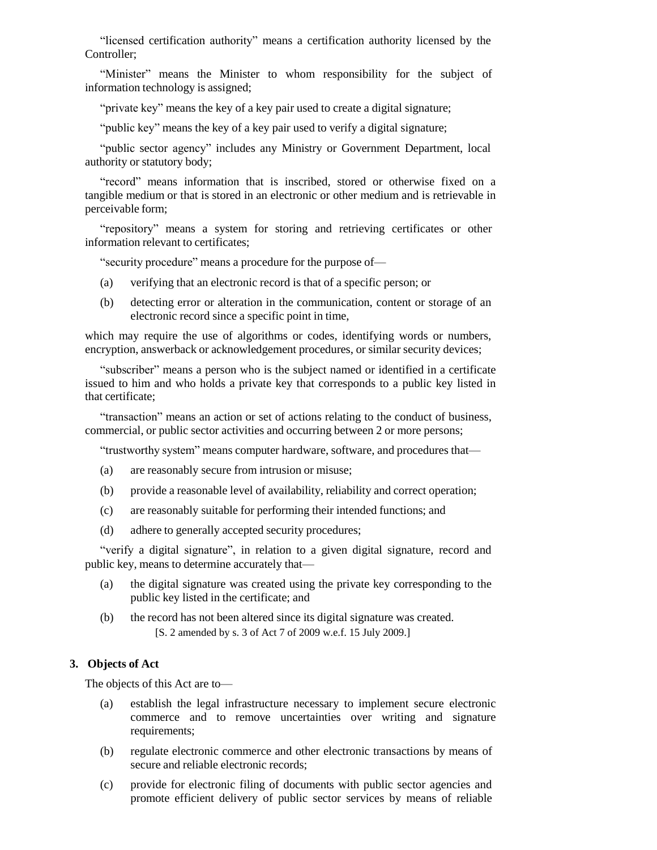"licensed certification authority" means a certification authority licensed by the Controller;

"Minister" means the Minister to whom responsibility for the subject of information technology is assigned;

"private key" means the key of a key pair used to create a digital signature;

"public key" means the key of a key pair used to verify a digital signature;

"public sector agency" includes any Ministry or Government Department, local authority or statutory body;

"record" means information that is inscribed, stored or otherwise fixed on a tangible medium or that is stored in an electronic or other medium and is retrievable in perceivable form;

"repository" means a system for storing and retrieving certificates or other information relevant to certificates;

"security procedure" means a procedure for the purpose of—

- (a) verifying that an electronic record is that of a specific person; or
- (b) detecting error or alteration in the communication, content or storage of an electronic record since a specific point in time,

which may require the use of algorithms or codes, identifying words or numbers, encryption, answerback or acknowledgement procedures, or similar security devices;

"subscriber" means a person who is the subject named or identified in a certificate issued to him and who holds a private key that corresponds to a public key listed in that certificate;

"transaction" means an action or set of actions relating to the conduct of business, commercial, or public sector activities and occurring between 2 or more persons;

"trustworthy system" means computer hardware, software, and procedures that—

- (a) are reasonably secure from intrusion or misuse;
- (b) provide a reasonable level of availability, reliability and correct operation;
- (c) are reasonably suitable for performing their intended functions; and
- (d) adhere to generally accepted security procedures;

"verify a digital signature", in relation to a given digital signature, record and public key, means to determine accurately that—

- (a) the digital signature was created using the private key corresponding to the public key listed in the certificate; and
- (b) the record has not been altered since its digital signature was created. [S. 2 amended by s. 3 of Act 7 of 2009 w.e.f. 15 July 2009.]

### **3. Objects of Act**

The objects of this Act are to—

- (a) establish the legal infrastructure necessary to implement secure electronic commerce and to remove uncertainties over writing and signature requirements;
- (b) regulate electronic commerce and other electronic transactions by means of secure and reliable electronic records;
- (c) provide for electronic filing of documents with public sector agencies and promote efficient delivery of public sector services by means of reliable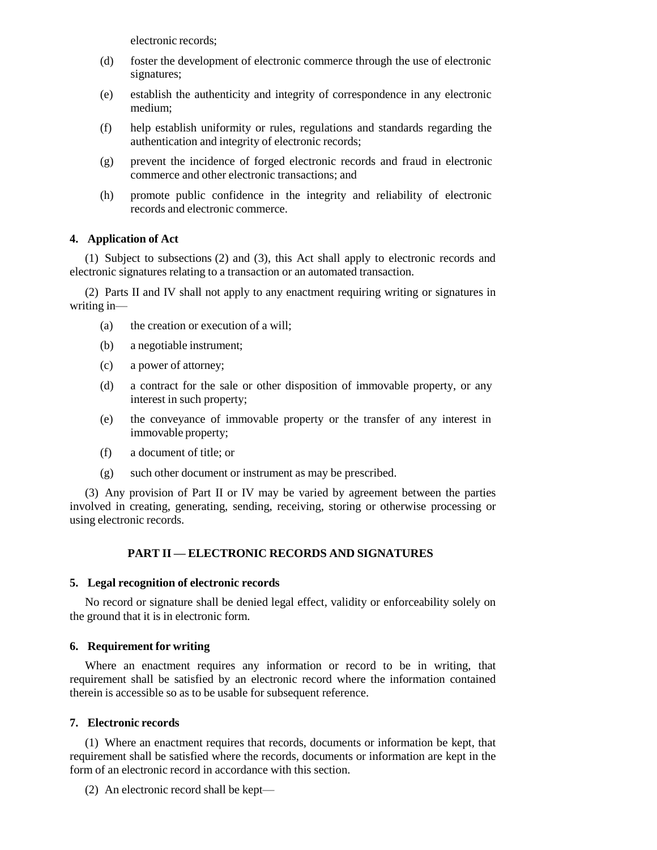electronic records;

- (d) foster the development of electronic commerce through the use of electronic signatures;
- (e) establish the authenticity and integrity of correspondence in any electronic medium;
- (f) help establish uniformity or rules, regulations and standards regarding the authentication and integrity of electronic records;
- (g) prevent the incidence of forged electronic records and fraud in electronic commerce and other electronic transactions; and
- (h) promote public confidence in the integrity and reliability of electronic records and electronic commerce.

# **4. Application of Act**

(1) Subject to subsections (2) and (3), this Act shall apply to electronic records and electronic signatures relating to a transaction or an automated transaction.

(2) Parts II and IV shall not apply to any enactment requiring writing or signatures in writing in—

- (a) the creation or execution of a will;
- (b) a negotiable instrument;
- (c) a power of attorney;
- (d) a contract for the sale or other disposition of immovable property, or any interest in such property;
- (e) the conveyance of immovable property or the transfer of any interest in immovable property;
- (f) a document of title; or
- (g) such other document or instrument as may be prescribed.

(3) Any provision of Part II or IV may be varied by agreement between the parties involved in creating, generating, sending, receiving, storing or otherwise processing or using electronic records.

# **PART II — ELECTRONIC RECORDS AND SIGNATURES**

### **5. Legal recognition of electronic records**

No record or signature shall be denied legal effect, validity or enforceability solely on the ground that it is in electronic form.

### **6. Requirement for writing**

Where an enactment requires any information or record to be in writing, that requirement shall be satisfied by an electronic record where the information contained therein is accessible so as to be usable for subsequent reference.

### **7. Electronic records**

(1) Where an enactment requires that records, documents or information be kept, that requirement shall be satisfied where the records, documents or information are kept in the form of an electronic record in accordance with this section.

(2) An electronic record shall be kept—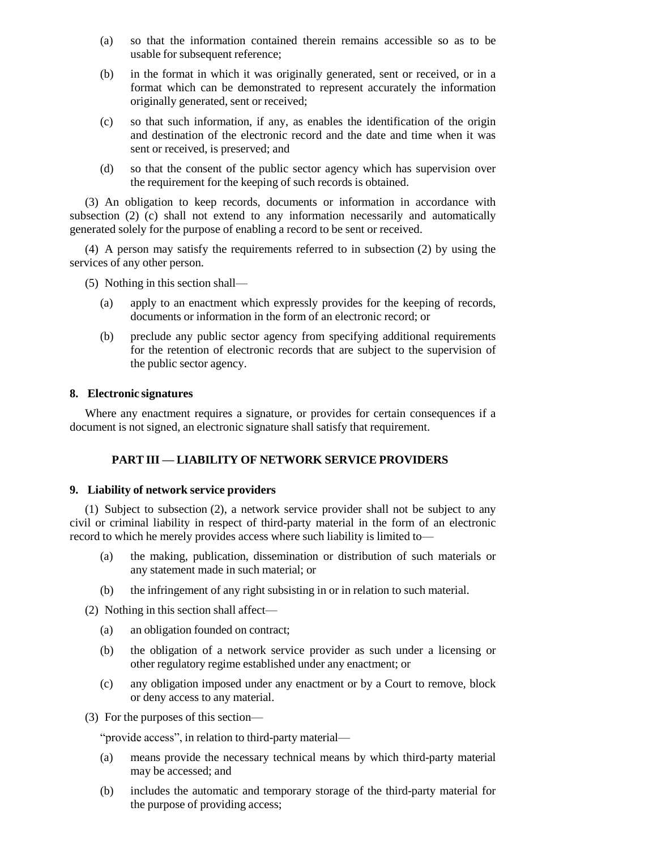- (a) so that the information contained therein remains accessible so as to be usable for subsequent reference;
- (b) in the format in which it was originally generated, sent or received, or in a format which can be demonstrated to represent accurately the information originally generated, sent or received;
- (c) so that such information, if any, as enables the identification of the origin and destination of the electronic record and the date and time when it was sent or received, is preserved; and
- (d) so that the consent of the public sector agency which has supervision over the requirement for the keeping of such records is obtained.

(3) An obligation to keep records, documents or information in accordance with subsection (2) (c) shall not extend to any information necessarily and automatically generated solely for the purpose of enabling a record to be sent or received.

(4) A person may satisfy the requirements referred to in subsection (2) by using the services of any other person.

(5) Nothing in this section shall—

- (a) apply to an enactment which expressly provides for the keeping of records, documents or information in the form of an electronic record; or
- (b) preclude any public sector agency from specifying additional requirements for the retention of electronic records that are subject to the supervision of the public sector agency.

## **8. Electronic signatures**

Where any enactment requires a signature, or provides for certain consequences if a document is not signed, an electronic signature shall satisfy that requirement.

# **PART III — LIABILITY OF NETWORK SERVICE PROVIDERS**

### **9. Liability of network service providers**

(1) Subject to subsection (2), a network service provider shall not be subject to any civil or criminal liability in respect of third-party material in the form of an electronic record to which he merely provides access where such liability is limited to—

- (a) the making, publication, dissemination or distribution of such materials or any statement made in such material; or
- (b) the infringement of any right subsisting in or in relation to such material.
- (2) Nothing in this section shall affect—
	- (a) an obligation founded on contract;
	- (b) the obligation of a network service provider as such under a licensing or other regulatory regime established under any enactment; or
	- (c) any obligation imposed under any enactment or by a Court to remove, block or deny access to any material.
- (3) For the purposes of this section—

"provide access", in relation to third-party material—

- (a) means provide the necessary technical means by which third-party material may be accessed; and
- (b) includes the automatic and temporary storage of the third-party material for the purpose of providing access;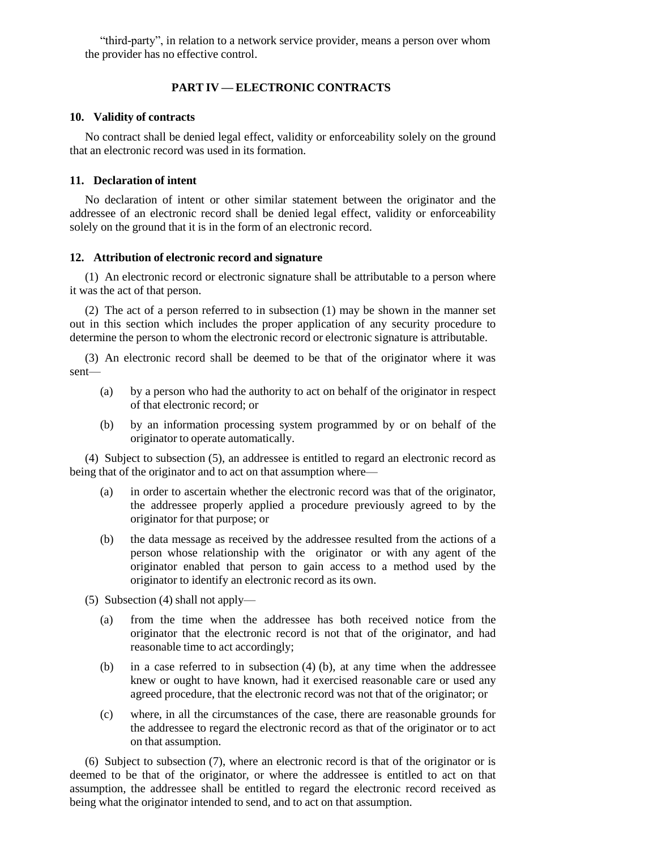"third-party", in relation to a network service provider, means a person over whom the provider has no effective control.

## **PART IV — ELECTRONIC CONTRACTS**

### **10. Validity of contracts**

No contract shall be denied legal effect, validity or enforceability solely on the ground that an electronic record was used in its formation.

## **11. Declaration of intent**

No declaration of intent or other similar statement between the originator and the addressee of an electronic record shall be denied legal effect, validity or enforceability solely on the ground that it is in the form of an electronic record.

## **12. Attribution of electronic record and signature**

(1) An electronic record or electronic signature shall be attributable to a person where it was the act of that person.

(2) The act of a person referred to in subsection (1) may be shown in the manner set out in this section which includes the proper application of any security procedure to determine the person to whom the electronic record or electronic signature is attributable.

(3) An electronic record shall be deemed to be that of the originator where it was sent—

- (a) by a person who had the authority to act on behalf of the originator in respect of that electronic record; or
- (b) by an information processing system programmed by or on behalf of the originator to operate automatically.

(4) Subject to subsection (5), an addressee is entitled to regard an electronic record as being that of the originator and to act on that assumption where—

- (a) in order to ascertain whether the electronic record was that of the originator, the addressee properly applied a procedure previously agreed to by the originator for that purpose; or
- (b) the data message as received by the addressee resulted from the actions of a person whose relationship with the originator or with any agent of the originator enabled that person to gain access to a method used by the originator to identify an electronic record as its own.
- (5) Subsection (4) shall not apply—
	- (a) from the time when the addressee has both received notice from the originator that the electronic record is not that of the originator, and had reasonable time to act accordingly;
	- (b) in a case referred to in subsection (4) (b), at any time when the addressee knew or ought to have known, had it exercised reasonable care or used any agreed procedure, that the electronic record was not that of the originator; or
	- (c) where, in all the circumstances of the case, there are reasonable grounds for the addressee to regard the electronic record as that of the originator or to act on that assumption.

(6) Subject to subsection (7), where an electronic record is that of the originator or is deemed to be that of the originator, or where the addressee is entitled to act on that assumption, the addressee shall be entitled to regard the electronic record received as being what the originator intended to send, and to act on that assumption.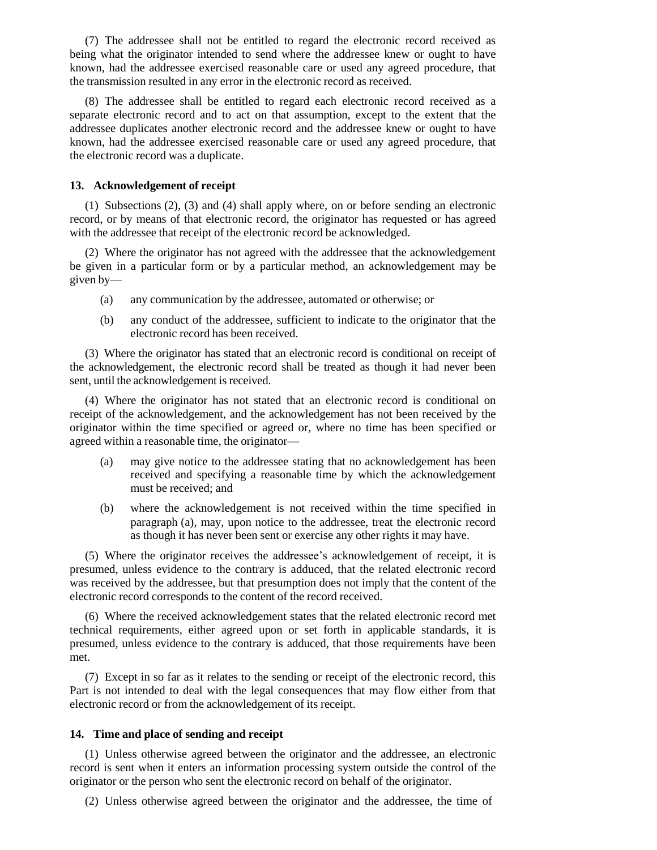(7) The addressee shall not be entitled to regard the electronic record received as being what the originator intended to send where the addressee knew or ought to have known, had the addressee exercised reasonable care or used any agreed procedure, that the transmission resulted in any error in the electronic record as received.

(8) The addressee shall be entitled to regard each electronic record received as a separate electronic record and to act on that assumption, except to the extent that the addressee duplicates another electronic record and the addressee knew or ought to have known, had the addressee exercised reasonable care or used any agreed procedure, that the electronic record was a duplicate.

#### **13. Acknowledgement of receipt**

(1) Subsections (2), (3) and (4) shall apply where, on or before sending an electronic record, or by means of that electronic record, the originator has requested or has agreed with the addressee that receipt of the electronic record be acknowledged.

(2) Where the originator has not agreed with the addressee that the acknowledgement be given in a particular form or by a particular method, an acknowledgement may be given by—

- (a) any communication by the addressee, automated or otherwise; or
- (b) any conduct of the addressee, sufficient to indicate to the originator that the electronic record has been received.

(3) Where the originator has stated that an electronic record is conditional on receipt of the acknowledgement, the electronic record shall be treated as though it had never been sent, until the acknowledgement is received.

(4) Where the originator has not stated that an electronic record is conditional on receipt of the acknowledgement, and the acknowledgement has not been received by the originator within the time specified or agreed or, where no time has been specified or agreed within a reasonable time, the originator—

- (a) may give notice to the addressee stating that no acknowledgement has been received and specifying a reasonable time by which the acknowledgement must be received; and
- (b) where the acknowledgement is not received within the time specified in paragraph (a), may, upon notice to the addressee, treat the electronic record as though it has never been sent or exercise any other rights it may have.

(5) Where the originator receives the addressee's acknowledgement of receipt, it is presumed, unless evidence to the contrary is adduced, that the related electronic record was received by the addressee, but that presumption does not imply that the content of the electronic record corresponds to the content of the record received.

(6) Where the received acknowledgement states that the related electronic record met technical requirements, either agreed upon or set forth in applicable standards, it is presumed, unless evidence to the contrary is adduced, that those requirements have been met.

(7) Except in so far as it relates to the sending or receipt of the electronic record, this Part is not intended to deal with the legal consequences that may flow either from that electronic record or from the acknowledgement of its receipt.

#### **14. Time and place of sending and receipt**

(1) Unless otherwise agreed between the originator and the addressee, an electronic record is sent when it enters an information processing system outside the control of the originator or the person who sent the electronic record on behalf of the originator.

(2) Unless otherwise agreed between the originator and the addressee, the time of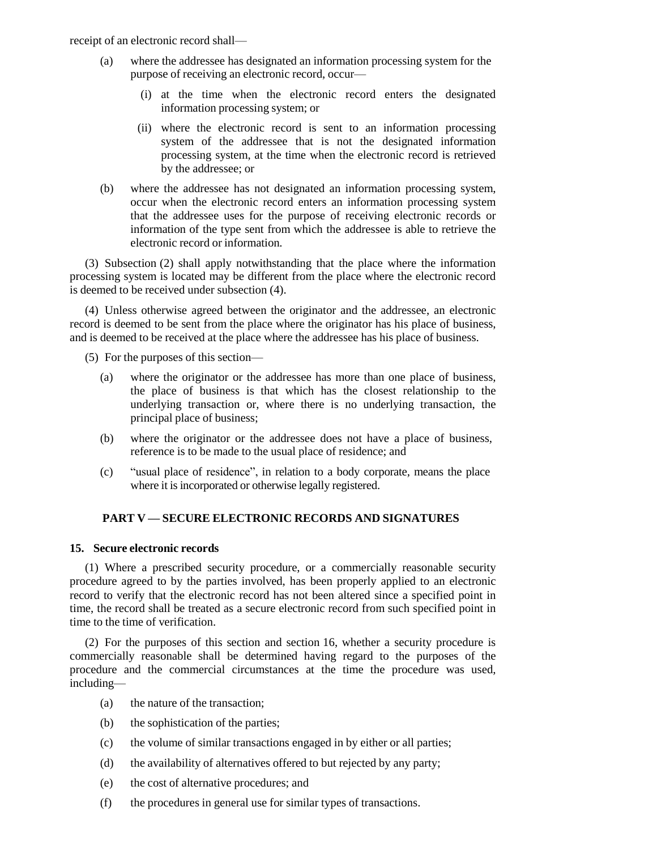receipt of an electronic record shall—

- (a) where the addressee has designated an information processing system for the purpose of receiving an electronic record, occur—
	- (i) at the time when the electronic record enters the designated information processing system; or
	- (ii) where the electronic record is sent to an information processing system of the addressee that is not the designated information processing system, at the time when the electronic record is retrieved by the addressee; or
- (b) where the addressee has not designated an information processing system, occur when the electronic record enters an information processing system that the addressee uses for the purpose of receiving electronic records or information of the type sent from which the addressee is able to retrieve the electronic record or information.

(3) Subsection (2) shall apply notwithstanding that the place where the information processing system is located may be different from the place where the electronic record is deemed to be received under subsection (4).

(4) Unless otherwise agreed between the originator and the addressee, an electronic record is deemed to be sent from the place where the originator has his place of business, and is deemed to be received at the place where the addressee has his place of business.

(5) For the purposes of this section—

- (a) where the originator or the addressee has more than one place of business, the place of business is that which has the closest relationship to the underlying transaction or, where there is no underlying transaction, the principal place of business;
- (b) where the originator or the addressee does not have a place of business, reference is to be made to the usual place of residence; and
- (c) "usual place of residence", in relation to a body corporate, means the place where it is incorporated or otherwise legally registered.

## **PART V — SECURE ELECTRONIC RECORDS AND SIGNATURES**

### **15. Secure electronic records**

(1) Where a prescribed security procedure, or a commercially reasonable security procedure agreed to by the parties involved, has been properly applied to an electronic record to verify that the electronic record has not been altered since a specified point in time, the record shall be treated as a secure electronic record from such specified point in time to the time of verification.

(2) For the purposes of this section and section 16, whether a security procedure is commercially reasonable shall be determined having regard to the purposes of the procedure and the commercial circumstances at the time the procedure was used, including—

- (a) the nature of the transaction;
- (b) the sophistication of the parties;
- (c) the volume of similar transactions engaged in by either or all parties;
- (d) the availability of alternatives offered to but rejected by any party;
- (e) the cost of alternative procedures; and
- (f) the procedures in general use for similar types of transactions.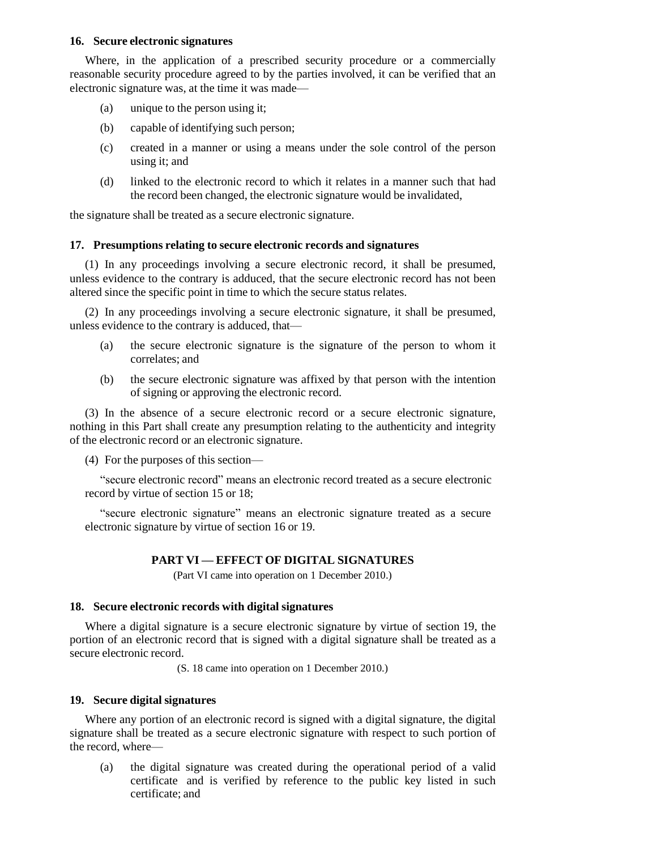### **16. Secure electronic signatures**

Where, in the application of a prescribed security procedure or a commercially reasonable security procedure agreed to by the parties involved, it can be verified that an electronic signature was, at the time it was made—

- (a) unique to the person using it;
- (b) capable of identifying such person;
- (c) created in a manner or using a means under the sole control of the person using it; and
- (d) linked to the electronic record to which it relates in a manner such that had the record been changed, the electronic signature would be invalidated,

the signature shall be treated as a secure electronic signature.

## **17. Presumptions relating to secure electronic records and signatures**

(1) In any proceedings involving a secure electronic record, it shall be presumed, unless evidence to the contrary is adduced, that the secure electronic record has not been altered since the specific point in time to which the secure status relates.

(2) In any proceedings involving a secure electronic signature, it shall be presumed, unless evidence to the contrary is adduced, that—

- (a) the secure electronic signature is the signature of the person to whom it correlates; and
- (b) the secure electronic signature was affixed by that person with the intention of signing or approving the electronic record.

(3) In the absence of a secure electronic record or a secure electronic signature, nothing in this Part shall create any presumption relating to the authenticity and integrity of the electronic record or an electronic signature.

(4) For the purposes of this section—

"secure electronic record" means an electronic record treated as a secure electronic record by virtue of section 15 or 18;

"secure electronic signature" means an electronic signature treated as a secure electronic signature by virtue of section 16 or 19.

# **PART VI — EFFECT OF DIGITAL SIGNATURES**

(Part VI came into operation on 1 December 2010.)

### **18. Secure electronic records with digital signatures**

Where a digital signature is a secure electronic signature by virtue of section 19, the portion of an electronic record that is signed with a digital signature shall be treated as a secure electronic record.

(S. 18 came into operation on 1 December 2010.)

### **19. Secure digital signatures**

Where any portion of an electronic record is signed with a digital signature, the digital signature shall be treated as a secure electronic signature with respect to such portion of the record, where—

(a) the digital signature was created during the operational period of a valid certificate and is verified by reference to the public key listed in such certificate; and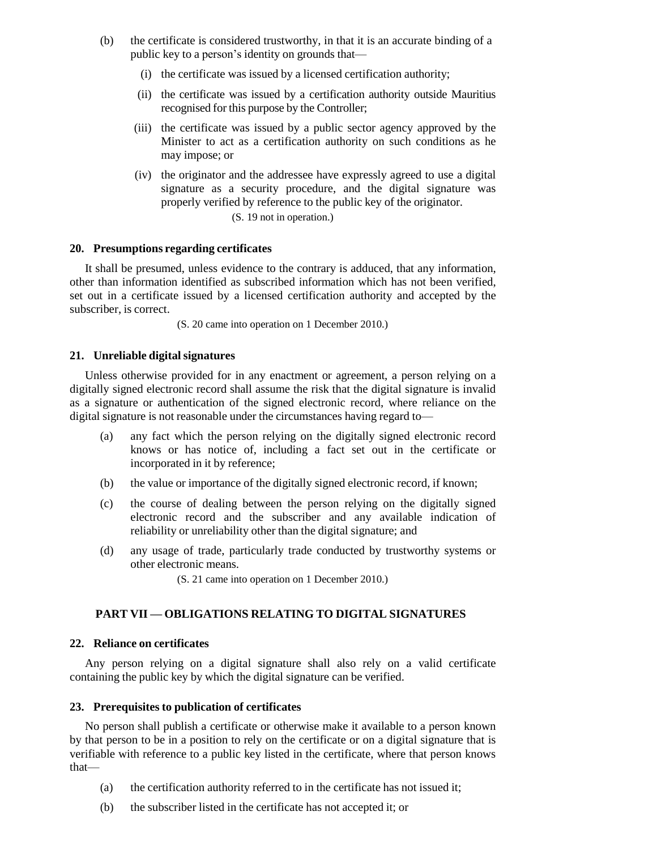- (b) the certificate is considered trustworthy, in that it is an accurate binding of a public key to a person's identity on grounds that—
	- (i) the certificate was issued by a licensed certification authority;
	- (ii) the certificate was issued by a certification authority outside Mauritius recognised for this purpose by the Controller;
	- (iii) the certificate was issued by a public sector agency approved by the Minister to act as a certification authority on such conditions as he may impose; or
	- (iv) the originator and the addressee have expressly agreed to use a digital signature as a security procedure, and the digital signature was properly verified by reference to the public key of the originator.

(S. 19 not in operation.)

### **20. Presumptions regarding certificates**

It shall be presumed, unless evidence to the contrary is adduced, that any information, other than information identified as subscribed information which has not been verified, set out in a certificate issued by a licensed certification authority and accepted by the subscriber, is correct.

(S. 20 came into operation on 1 December 2010.)

### **21. Unreliable digitalsignatures**

Unless otherwise provided for in any enactment or agreement, a person relying on a digitally signed electronic record shall assume the risk that the digital signature is invalid as a signature or authentication of the signed electronic record, where reliance on the digital signature is not reasonable under the circumstances having regard to—

- (a) any fact which the person relying on the digitally signed electronic record knows or has notice of, including a fact set out in the certificate or incorporated in it by reference;
- (b) the value or importance of the digitally signed electronic record, if known;
- (c) the course of dealing between the person relying on the digitally signed electronic record and the subscriber and any available indication of reliability or unreliability other than the digital signature; and
- (d) any usage of trade, particularly trade conducted by trustworthy systems or other electronic means.

(S. 21 came into operation on 1 December 2010.)

# **PART VII — OBLIGATIONS RELATING TO DIGITAL SIGNATURES**

#### **22. Reliance on certificates**

Any person relying on a digital signature shall also rely on a valid certificate containing the public key by which the digital signature can be verified.

#### **23. Prerequisites to publication of certificates**

No person shall publish a certificate or otherwise make it available to a person known by that person to be in a position to rely on the certificate or on a digital signature that is verifiable with reference to a public key listed in the certificate, where that person knows that—

- (a) the certification authority referred to in the certificate has not issued it;
- (b) the subscriber listed in the certificate has not accepted it; or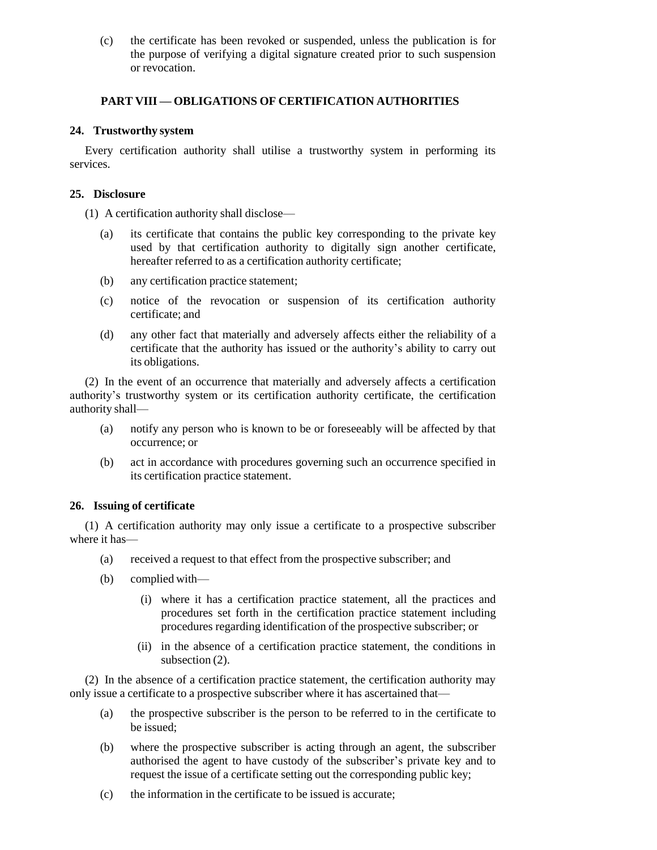(c) the certificate has been revoked or suspended, unless the publication is for the purpose of verifying a digital signature created prior to such suspension or revocation.

# **PART VIII — OBLIGATIONS OF CERTIFICATION AUTHORITIES**

## **24. Trustworthy system**

Every certification authority shall utilise a trustworthy system in performing its services.

## **25. Disclosure**

(1) A certification authority shall disclose—

- (a) its certificate that contains the public key corresponding to the private key used by that certification authority to digitally sign another certificate, hereafter referred to as a certification authority certificate;
- (b) any certification practice statement;
- (c) notice of the revocation or suspension of its certification authority certificate; and
- (d) any other fact that materially and adversely affects either the reliability of a certificate that the authority has issued or the authority's ability to carry out its obligations.

(2) In the event of an occurrence that materially and adversely affects a certification authority's trustworthy system or its certification authority certificate, the certification authority shall—

- (a) notify any person who is known to be or foreseeably will be affected by that occurrence; or
- (b) act in accordance with procedures governing such an occurrence specified in its certification practice statement.

# **26. Issuing of certificate**

(1) A certification authority may only issue a certificate to a prospective subscriber where it has—

- (a) received a request to that effect from the prospective subscriber; and
- (b) complied with—
	- (i) where it has a certification practice statement, all the practices and procedures set forth in the certification practice statement including procedures regarding identification of the prospective subscriber; or
	- (ii) in the absence of a certification practice statement, the conditions in subsection (2).

(2) In the absence of a certification practice statement, the certification authority may only issue a certificate to a prospective subscriber where it has ascertained that—

- (a) the prospective subscriber is the person to be referred to in the certificate to be issued;
- (b) where the prospective subscriber is acting through an agent, the subscriber authorised the agent to have custody of the subscriber's private key and to request the issue of a certificate setting out the corresponding public key;
- (c) the information in the certificate to be issued is accurate;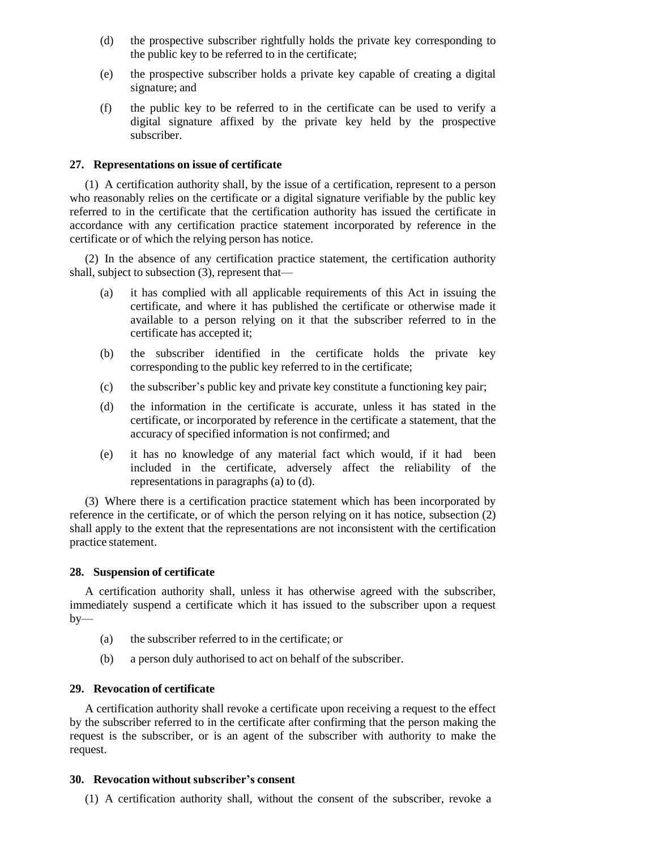- (d) the prospective subscriber rightfully holds the private key corresponding to the public key to be referred to in the certificate;
- (e) the prospective subscriber holds a private key capable of creating a digital signature; and
- (f) the public key to be referred to in the certificate can be used to verify a digital signature affixed by the private key held by the prospective subscriber.

### **27. Representations on issue of certificate**

(1) A certification authority shall, by the issue of a certification, represent to a person who reasonably relies on the certificate or a digital signature verifiable by the public key referred to in the certificate that the certification authority has issued the certificate in accordance with any certification practice statement incorporated by reference in the certificate or of which the relying person has notice.

(2) In the absence of any certification practice statement, the certification authority shall, subject to subsection (3), represent that—

- (a) it has complied with all applicable requirements of this Act in issuing the certificate, and where it has published the certificate or otherwise made it available to a person relying on it that the subscriber referred to in the certificate has accepted it;
- (b) the subscriber identified in the certificate holds the private key corresponding to the public key referred to in the certificate;
- (c) the subscriber's public key and private key constitute a functioning key pair;
- (d) the information in the certificate is accurate, unless it has stated in the certificate, or incorporated by reference in the certificate a statement, that the accuracy of specified information is not confirmed; and
- (e) it has no knowledge of any material fact which would, if it had been included in the certificate, adversely affect the reliability of the representations in paragraphs (a) to (d).

(3) Where there is a certification practice statement which has been incorporated by reference in the certificate, or of which the person relying on it has notice, subsection (2) shall apply to the extent that the representations are not inconsistent with the certification practice statement.

### **28. Suspension of certificate**

A certification authority shall, unless it has otherwise agreed with the subscriber, immediately suspend a certificate which it has issued to the subscriber upon a request  $by-$ 

- (a) the subscriber referred to in the certificate; or
- (b) a person duly authorised to act on behalf of the subscriber.

### **29. Revocation of certificate**

A certification authority shall revoke a certificate upon receiving a request to the effect by the subscriber referred to in the certificate after confirming that the person making the request is the subscriber, or is an agent of the subscriber with authority to make the request.

### **30. Revocation without subscriber's consent**

(1) A certification authority shall, without the consent of the subscriber, revoke a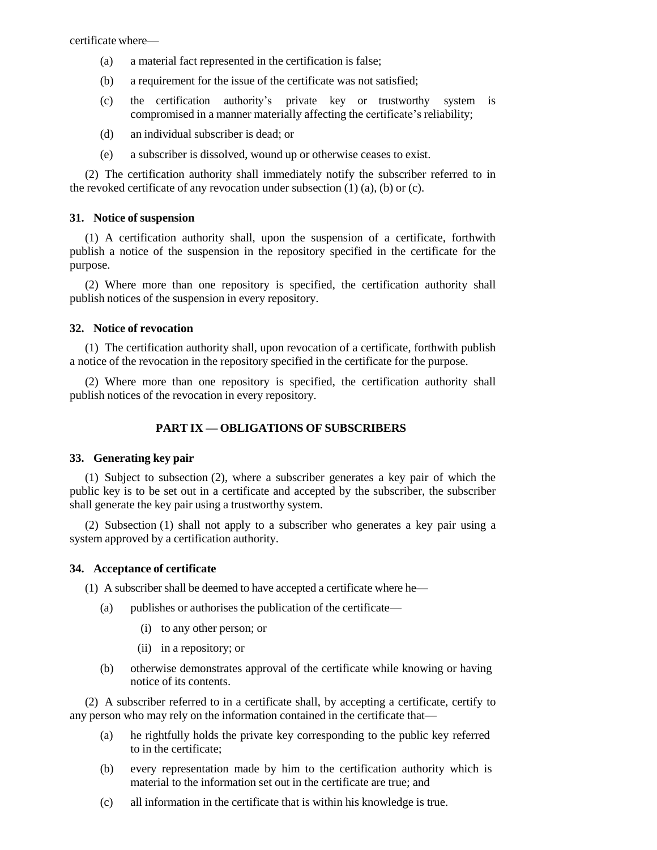certificate where—

- (a) a material fact represented in the certification is false;
- (b) a requirement for the issue of the certificate was not satisfied;
- (c) the certification authority's private key or trustworthy system is compromised in a manner materially affecting the certificate's reliability;
- (d) an individual subscriber is dead; or
- (e) a subscriber is dissolved, wound up or otherwise ceases to exist.

(2) The certification authority shall immediately notify the subscriber referred to in the revoked certificate of any revocation under subsection  $(1)$   $(a)$ ,  $(b)$  or  $(c)$ .

### **31. Notice of suspension**

(1) A certification authority shall, upon the suspension of a certificate, forthwith publish a notice of the suspension in the repository specified in the certificate for the purpose.

(2) Where more than one repository is specified, the certification authority shall publish notices of the suspension in every repository.

#### **32. Notice of revocation**

(1) The certification authority shall, upon revocation of a certificate, forthwith publish a notice of the revocation in the repository specified in the certificate for the purpose.

(2) Where more than one repository is specified, the certification authority shall publish notices of the revocation in every repository.

### **PART IX — OBLIGATIONS OF SUBSCRIBERS**

#### **33. Generating key pair**

(1) Subject to subsection (2), where a subscriber generates a key pair of which the public key is to be set out in a certificate and accepted by the subscriber, the subscriber shall generate the key pair using a trustworthy system.

(2) Subsection (1) shall not apply to a subscriber who generates a key pair using a system approved by a certification authority.

#### **34. Acceptance of certificate**

(1) A subscriber shall be deemed to have accepted a certificate where he—

- (a) publishes or authorises the publication of the certificate—
	- (i) to any other person; or
	- (ii) in a repository; or
- (b) otherwise demonstrates approval of the certificate while knowing or having notice of its contents.

(2) A subscriber referred to in a certificate shall, by accepting a certificate, certify to any person who may rely on the information contained in the certificate that—

- (a) he rightfully holds the private key corresponding to the public key referred to in the certificate;
- (b) every representation made by him to the certification authority which is material to the information set out in the certificate are true; and
- (c) all information in the certificate that is within his knowledge is true.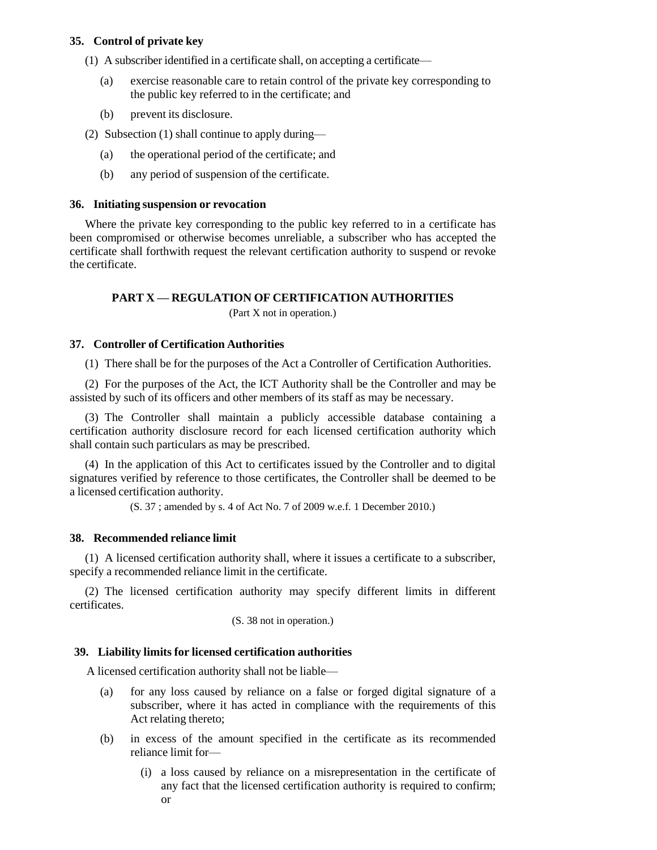## **35. Control of private key**

- (1) A subscriber identified in a certificate shall, on accepting a certificate—
	- (a) exercise reasonable care to retain control of the private key corresponding to the public key referred to in the certificate; and
	- (b) prevent its disclosure.
- (2) Subsection (1) shall continue to apply during—
	- (a) the operational period of the certificate; and
	- (b) any period of suspension of the certificate.

### **36. Initiating suspension or revocation**

Where the private key corresponding to the public key referred to in a certificate has been compromised or otherwise becomes unreliable, a subscriber who has accepted the certificate shall forthwith request the relevant certification authority to suspend or revoke the certificate.

### **PART X — REGULATION OF CERTIFICATION AUTHORITIES**

(Part X not in operation.)

### **37. Controller of Certification Authorities**

(1) There shall be for the purposes of the Act a Controller of Certification Authorities.

(2) For the purposes of the Act, the ICT Authority shall be the Controller and may be assisted by such of its officers and other members of its staff as may be necessary.

(3) The Controller shall maintain a publicly accessible database containing a certification authority disclosure record for each licensed certification authority which shall contain such particulars as may be prescribed.

(4) In the application of this Act to certificates issued by the Controller and to digital signatures verified by reference to those certificates, the Controller shall be deemed to be a licensed certification authority.

(S. 37 ; amended by s. 4 of Act No. 7 of 2009 w.e.f. 1 December 2010.)

### **38. Recommended reliance limit**

(1) A licensed certification authority shall, where it issues a certificate to a subscriber, specify a recommended reliance limit in the certificate.

(2) The licensed certification authority may specify different limits in different certificates.

(S. 38 not in operation.)

### **39. Liability limits for licensed certification authorities**

A licensed certification authority shall not be liable—

- (a) for any loss caused by reliance on a false or forged digital signature of a subscriber, where it has acted in compliance with the requirements of this Act relating thereto;
- (b) in excess of the amount specified in the certificate as its recommended reliance limit for—
	- (i) a loss caused by reliance on a misrepresentation in the certificate of any fact that the licensed certification authority is required to confirm; or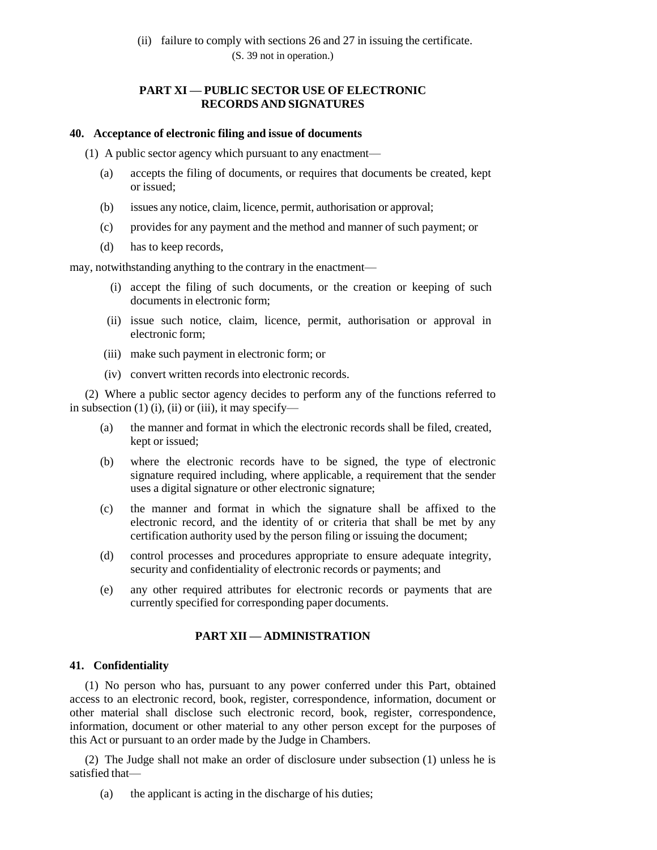# **PART XI — PUBLIC SECTOR USE OF ELECTRONIC RECORDS AND SIGNATURES**

#### **40. Acceptance of electronic filing and issue of documents**

(1) A public sector agency which pursuant to any enactment—

- (a) accepts the filing of documents, or requires that documents be created, kept or issued;
- (b) issues any notice, claim, licence, permit, authorisation or approval;
- (c) provides for any payment and the method and manner of such payment; or
- (d) has to keep records,

may, notwithstanding anything to the contrary in the enactment—

- (i) accept the filing of such documents, or the creation or keeping of such documents in electronic form;
- (ii) issue such notice, claim, licence, permit, authorisation or approval in electronic form;
- (iii) make such payment in electronic form; or
- (iv) convert written records into electronic records.

(2) Where a public sector agency decides to perform any of the functions referred to in subsection  $(1)$  (i), (ii) or (iii), it may specify—

- (a) the manner and format in which the electronic records shall be filed, created, kept or issued;
- (b) where the electronic records have to be signed, the type of electronic signature required including, where applicable, a requirement that the sender uses a digital signature or other electronic signature;
- (c) the manner and format in which the signature shall be affixed to the electronic record, and the identity of or criteria that shall be met by any certification authority used by the person filing or issuing the document;
- (d) control processes and procedures appropriate to ensure adequate integrity, security and confidentiality of electronic records or payments; and
- (e) any other required attributes for electronic records or payments that are currently specified for corresponding paper documents.

### **PART XII — ADMINISTRATION**

### **41. Confidentiality**

(1) No person who has, pursuant to any power conferred under this Part, obtained access to an electronic record, book, register, correspondence, information, document or other material shall disclose such electronic record, book, register, correspondence, information, document or other material to any other person except for the purposes of this Act or pursuant to an order made by the Judge in Chambers.

(2) The Judge shall not make an order of disclosure under subsection (1) unless he is satisfied that—

(a) the applicant is acting in the discharge of his duties;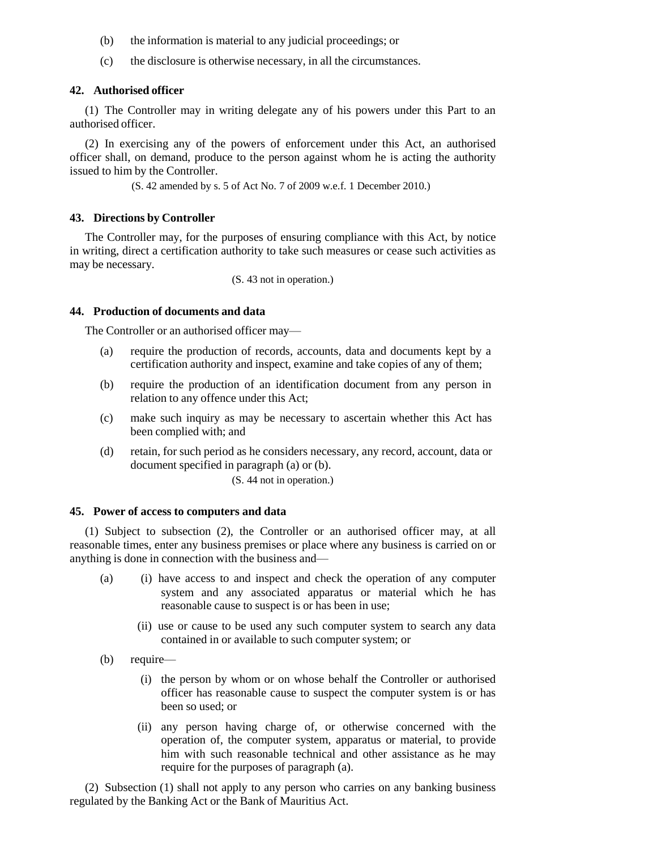- (b) the information is material to any judicial proceedings; or
- (c) the disclosure is otherwise necessary, in all the circumstances.

#### **42. Authorised officer**

(1) The Controller may in writing delegate any of his powers under this Part to an authorised officer.

(2) In exercising any of the powers of enforcement under this Act, an authorised officer shall, on demand, produce to the person against whom he is acting the authority issued to him by the Controller.

(S. 42 amended by s. 5 of Act No. 7 of 2009 w.e.f. 1 December 2010.)

#### **43. Directions by Controller**

The Controller may, for the purposes of ensuring compliance with this Act, by notice in writing, direct a certification authority to take such measures or cease such activities as may be necessary.

(S. 43 not in operation.)

#### **44. Production of documents and data**

The Controller or an authorised officer may—

- (a) require the production of records, accounts, data and documents kept by a certification authority and inspect, examine and take copies of any of them;
- (b) require the production of an identification document from any person in relation to any offence under this Act;
- (c) make such inquiry as may be necessary to ascertain whether this Act has been complied with; and
- (d) retain, for such period as he considers necessary, any record, account, data or document specified in paragraph (a) or (b).

(S. 44 not in operation.)

### **45. Power of access to computers and data**

(1) Subject to subsection (2), the Controller or an authorised officer may, at all reasonable times, enter any business premises or place where any business is carried on or anything is done in connection with the business and—

- (a) (i) have access to and inspect and check the operation of any computer system and any associated apparatus or material which he has reasonable cause to suspect is or has been in use;
	- (ii) use or cause to be used any such computer system to search any data contained in or available to such computer system; or
- (b) require—
	- (i) the person by whom or on whose behalf the Controller or authorised officer has reasonable cause to suspect the computer system is or has been so used; or
	- (ii) any person having charge of, or otherwise concerned with the operation of, the computer system, apparatus or material, to provide him with such reasonable technical and other assistance as he may require for the purposes of paragraph (a).

(2) Subsection (1) shall not apply to any person who carries on any banking business regulated by the Banking Act or the Bank of Mauritius Act.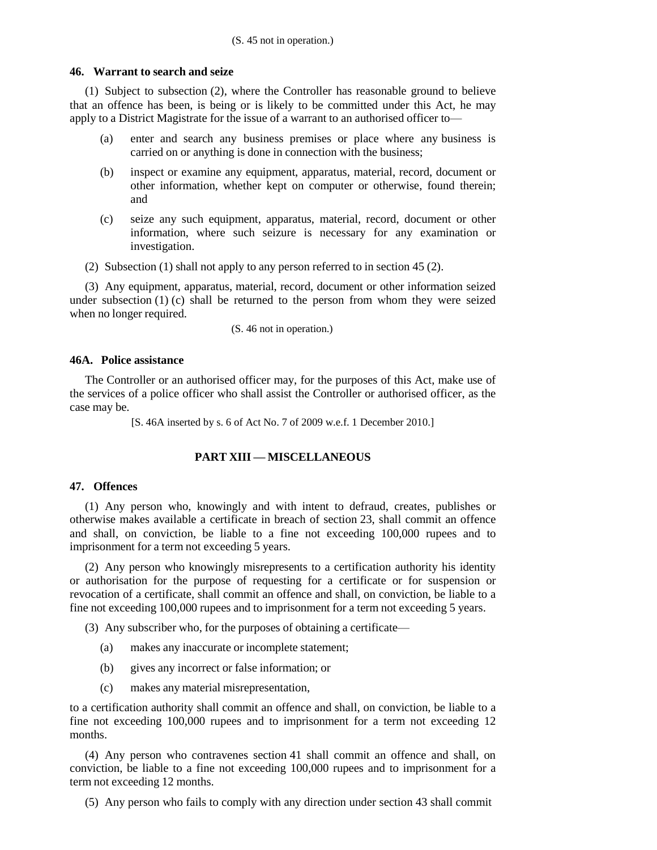### **46. Warrant to search and seize**

(1) Subject to subsection (2), where the Controller has reasonable ground to believe that an offence has been, is being or is likely to be committed under this Act, he may apply to a District Magistrate for the issue of a warrant to an authorised officer to—

- (a) enter and search any business premises or place where any business is carried on or anything is done in connection with the business;
- (b) inspect or examine any equipment, apparatus, material, record, document or other information, whether kept on computer or otherwise, found therein; and
- (c) seize any such equipment, apparatus, material, record, document or other information, where such seizure is necessary for any examination or investigation.
- (2) Subsection (1) shall not apply to any person referred to in section 45 (2).

(3) Any equipment, apparatus, material, record, document or other information seized under subsection  $(1)$  (c) shall be returned to the person from whom they were seized when no longer required.

(S. 46 not in operation.)

# **46A. Police assistance**

The Controller or an authorised officer may, for the purposes of this Act, make use of the services of a police officer who shall assist the Controller or authorised officer, as the case may be.

[S. 46A inserted by s. 6 of Act No. 7 of 2009 w.e.f. 1 December 2010.]

# **PART XIII — MISCELLANEOUS**

## **47. Offences**

(1) Any person who, knowingly and with intent to defraud, creates, publishes or otherwise makes available a certificate in breach of section 23, shall commit an offence and shall, on conviction, be liable to a fine not exceeding 100,000 rupees and to imprisonment for a term not exceeding 5 years.

(2) Any person who knowingly misrepresents to a certification authority his identity or authorisation for the purpose of requesting for a certificate or for suspension or revocation of a certificate, shall commit an offence and shall, on conviction, be liable to a fine not exceeding 100,000 rupees and to imprisonment for a term not exceeding 5 years.

(3) Any subscriber who, for the purposes of obtaining a certificate—

- (a) makes any inaccurate or incomplete statement;
- (b) gives any incorrect or false information; or
- (c) makes any material misrepresentation,

to a certification authority shall commit an offence and shall, on conviction, be liable to a fine not exceeding 100,000 rupees and to imprisonment for a term not exceeding 12 months.

(4) Any person who contravenes section 41 shall commit an offence and shall, on conviction, be liable to a fine not exceeding 100,000 rupees and to imprisonment for a term not exceeding 12 months.

(5) Any person who fails to comply with any direction under section 43 shall commit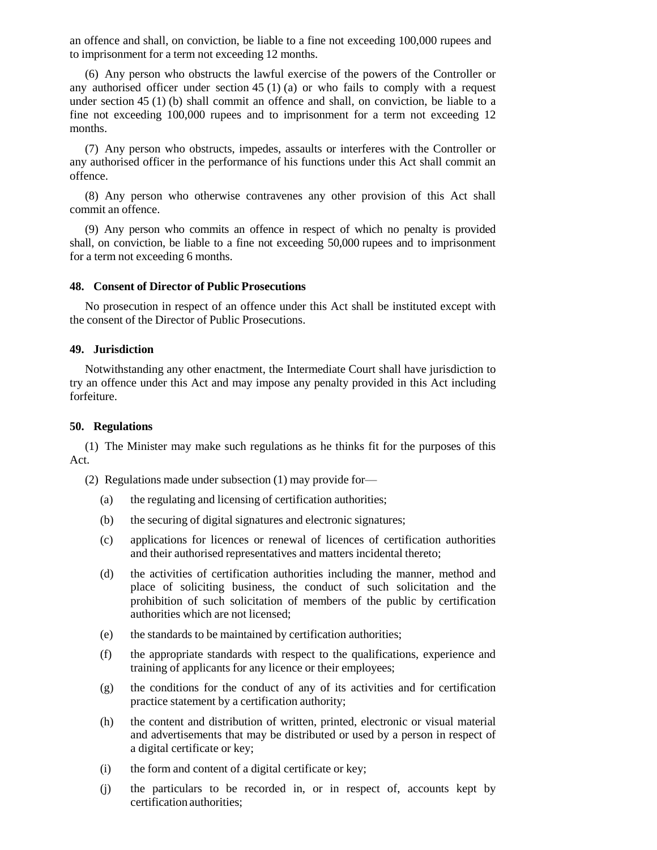an offence and shall, on conviction, be liable to a fine not exceeding 100,000 rupees and to imprisonment for a term not exceeding 12 months.

(6) Any person who obstructs the lawful exercise of the powers of the Controller or any authorised officer under section 45 (1) (a) or who fails to comply with a request under section 45 (1) (b) shall commit an offence and shall, on conviction, be liable to a fine not exceeding 100,000 rupees and to imprisonment for a term not exceeding 12 months.

(7) Any person who obstructs, impedes, assaults or interferes with the Controller or any authorised officer in the performance of his functions under this Act shall commit an offence.

(8) Any person who otherwise contravenes any other provision of this Act shall commit an offence.

(9) Any person who commits an offence in respect of which no penalty is provided shall, on conviction, be liable to a fine not exceeding 50,000 rupees and to imprisonment for a term not exceeding 6 months.

#### **48. Consent of Director of Public Prosecutions**

No prosecution in respect of an offence under this Act shall be instituted except with the consent of the Director of Public Prosecutions.

#### **49. Jurisdiction**

Notwithstanding any other enactment, the Intermediate Court shall have jurisdiction to try an offence under this Act and may impose any penalty provided in this Act including forfeiture.

#### **50. Regulations**

(1) The Minister may make such regulations as he thinks fit for the purposes of this Act.

(2) Regulations made under subsection (1) may provide for—

- (a) the regulating and licensing of certification authorities;
- (b) the securing of digital signatures and electronic signatures;
- (c) applications for licences or renewal of licences of certification authorities and their authorised representatives and matters incidental thereto;
- (d) the activities of certification authorities including the manner, method and place of soliciting business, the conduct of such solicitation and the prohibition of such solicitation of members of the public by certification authorities which are not licensed;
- (e) the standards to be maintained by certification authorities;
- (f) the appropriate standards with respect to the qualifications, experience and training of applicants for any licence or their employees;
- (g) the conditions for the conduct of any of its activities and for certification practice statement by a certification authority;
- (h) the content and distribution of written, printed, electronic or visual material and advertisements that may be distributed or used by a person in respect of a digital certificate or key;
- (i) the form and content of a digital certificate or key;
- (j) the particulars to be recorded in, or in respect of, accounts kept by certification authorities;